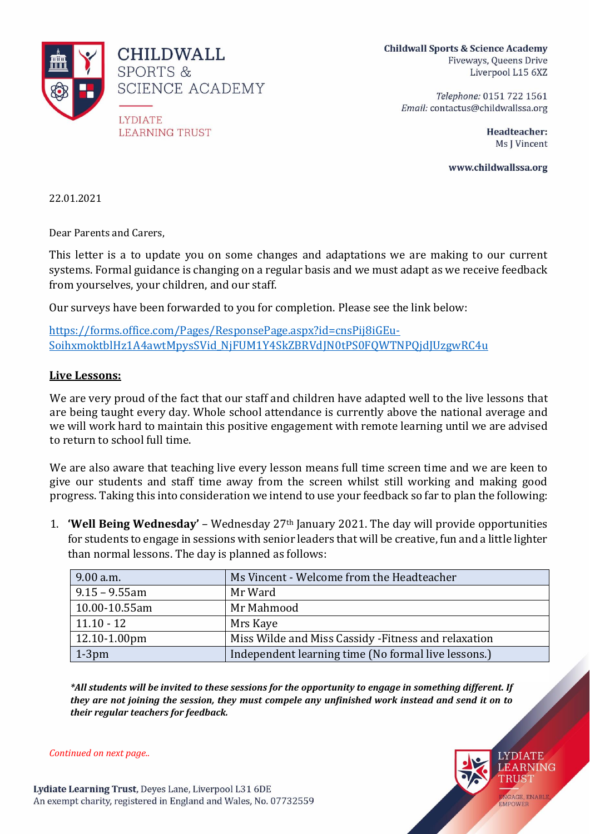

**Childwall Sports & Science Academy** Fiveways, Queens Drive Liverpool L15 6XZ

> Telephone: 0151 722 1561 Email: contactus@childwallssa.org

> > Headteacher: Ms J Vincent

www.childwallssa.org

22.01.2021

Dear Parents and Carers,

This letter is a to update you on some changes and adaptations we are making to our current systems. Formal guidance is changing on a regular basis and we must adapt as we receive feedback from yourselves, your children, and our staff.

Our surveys have been forwarded to you for completion. Please see the link below:

[https://forms.office.com/Pages/ResponsePage.aspx?id=cnsPij8iGEu-](https://forms.office.com/Pages/ResponsePage.aspx?id=cnsPij8iGEu-SoihxmoktblHz1A4awtMpysSVid_NjFUM1Y4SkZBRVdJN0tPS0FQWTNPQjdJUzgwRC4u)[SoihxmoktblHz1A4awtMpysSVid\\_NjFUM1Y4SkZBRVdJN0tPS0FQWTNPQjdJUzgwRC4u](https://forms.office.com/Pages/ResponsePage.aspx?id=cnsPij8iGEu-SoihxmoktblHz1A4awtMpysSVid_NjFUM1Y4SkZBRVdJN0tPS0FQWTNPQjdJUzgwRC4u)

## **Live Lessons:**

We are very proud of the fact that our staff and children have adapted well to the live lessons that are being taught every day. Whole school attendance is currently above the national average and we will work hard to maintain this positive engagement with remote learning until we are advised to return to school full time.

We are also aware that teaching live every lesson means full time screen time and we are keen to give our students and staff time away from the screen whilst still working and making good progress. Taking this into consideration we intend to use your feedback so far to plan the following:

1. **'Well Being Wednesday'** – Wednesday 27th January 2021. The day will provide opportunities for students to engage in sessions with senior leaders that will be creative, fun and a little lighter than normal lessons. The day is planned as follows:

| 9.00 a.m.         | Ms Vincent - Welcome from the Headteacher            |
|-------------------|------------------------------------------------------|
| $9.15 - 9.55$ am  | Mr Ward                                              |
| 10.00-10.55am     | Mr Mahmood                                           |
| $11.10 - 12$      | Mrs Kaye                                             |
| $12.10 - 1.00$ pm | Miss Wilde and Miss Cassidy - Fitness and relaxation |
| $1-3$ pm          | Independent learning time (No formal live lessons.)  |

*\*All students will be invited to these sessions for the opportunity to engage in something different. If they are not joining the session, they must compele any unfinished work instead and send it on to their regular teachers for feedback.*



*Continued on next page..*